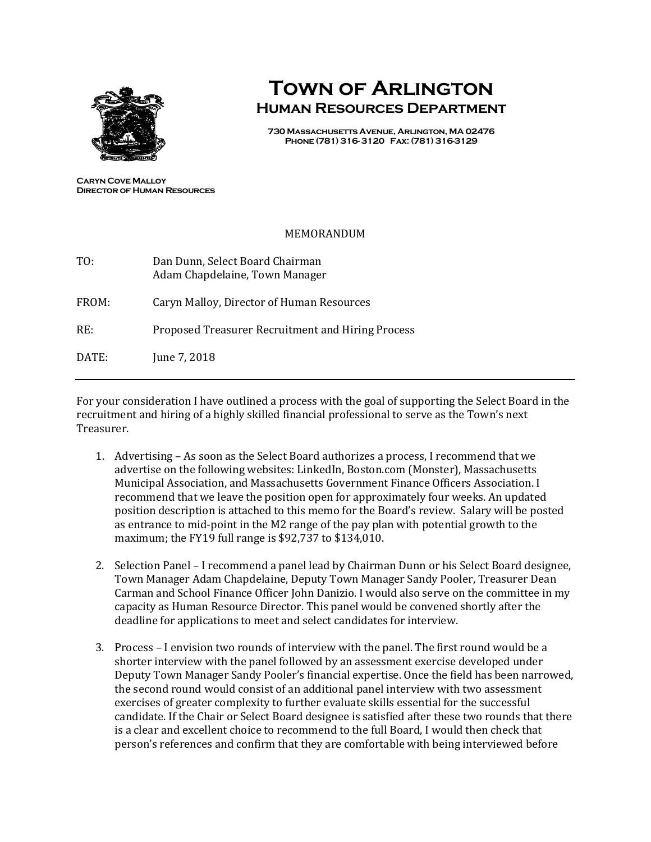

## **Town of Arlington Human Resources Department**

**730 Massachusetts Avenue, Arlington, MA 02476 Phone (781) 316- 3120 Fax: (781) 316-3129**

**Caryn Cove Malloy Director of Human Resources**

## MEMORANDUM

| TO:   | Dan Dunn, Select Board Chairman<br>Adam Chapdelaine, Town Manager |
|-------|-------------------------------------------------------------------|
| FROM: | Caryn Malloy, Director of Human Resources                         |
| RE:   | Proposed Treasurer Recruitment and Hiring Process                 |
| DATE: | June 7, 2018                                                      |

For your consideration I have outlined a process with the goal of supporting the Select Board in the recruitment and hiring of a highly skilled financial professional to serve as the Town's next Treasurer.

- 1. Advertising As soon as the Select Board authorizes a process, I recommend that we advertise on the following websites: LinkedIn, Boston.com (Monster), Massachusetts Municipal Association, and Massachusetts Government Finance Officers Association. I recommend that we leave the position open for approximately four weeks. An updated position description is attached to this memo for the Board's review. Salary will be posted as entrance to mid-point in the M2 range of the pay plan with potential growth to the maximum; the FY19 full range is \$92,737 to \$134,010.
- 2. Selection Panel I recommend a panel lead by Chairman Dunn or his Select Board designee, Town Manager Adam Chapdelaine, Deputy Town Manager Sandy Pooler, Treasurer Dean Carman and School Finance Officer John Danizio. I would also serve on the committee in my capacity as Human Resource Director. This panel would be convened shortly after the deadline for applications to meet and select candidates for interview.
- 3. Process I envision two rounds of interview with the panel. The first round would be a shorter interview with the panel followed by an assessment exercise developed under Deputy Town Manager Sandy Pooler's financial expertise. Once the field has been narrowed, the second round would consist of an additional panel interview with two assessment exercises of greater complexity to further evaluate skills essential for the successful candidate. If the Chair or Select Board designee is satisfied after these two rounds that there is a clear and excellent choice to recommend to the full Board, I would then check that person's references and confirm that they are comfortable with being interviewed before